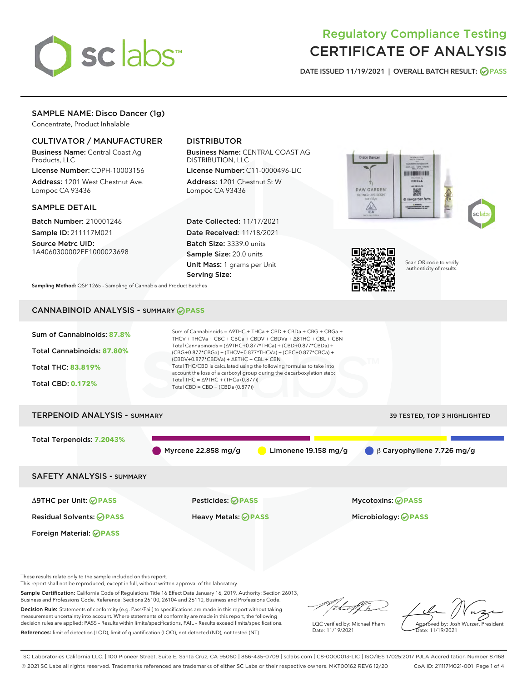

# Regulatory Compliance Testing CERTIFICATE OF ANALYSIS

DATE ISSUED 11/19/2021 | OVERALL BATCH RESULT: @ PASS

# SAMPLE NAME: Disco Dancer (1g)

Concentrate, Product Inhalable

# CULTIVATOR / MANUFACTURER

Business Name: Central Coast Ag Products, LLC

License Number: CDPH-10003156 Address: 1201 West Chestnut Ave. Lompoc CA 93436

### SAMPLE DETAIL

Batch Number: 210001246 Sample ID: 211117M021

Source Metrc UID: 1A4060300002EE1000023698

# DISTRIBUTOR

Business Name: CENTRAL COAST AG DISTRIBUTION, LLC

License Number: C11-0000496-LIC Address: 1201 Chestnut St W Lompoc CA 93436

Date Collected: 11/17/2021 Date Received: 11/18/2021 Batch Size: 3339.0 units Sample Size: 20.0 units Unit Mass: 1 grams per Unit Serving Size:







Scan QR code to verify authenticity of results.

Sampling Method: QSP 1265 - Sampling of Cannabis and Product Batches

# CANNABINOID ANALYSIS - SUMMARY **PASS**



Sample Certification: California Code of Regulations Title 16 Effect Date January 16, 2019. Authority: Section 26013, Business and Professions Code. Reference: Sections 26100, 26104 and 26110, Business and Professions Code. Decision Rule: Statements of conformity (e.g. Pass/Fail) to specifications are made in this report without taking

measurement uncertainty into account. Where statements of conformity are made in this report, the following decision rules are applied: PASS – Results within limits/specifications, FAIL – Results exceed limits/specifications. References: limit of detection (LOD), limit of quantification (LOQ), not detected (ND), not tested (NT)

that f(ha

LQC verified by: Michael Pham Date: 11/19/2021

Approved by: Josh Wurzer, President Date: 11/19/2021

SC Laboratories California LLC. | 100 Pioneer Street, Suite E, Santa Cruz, CA 95060 | 866-435-0709 | sclabs.com | C8-0000013-LIC | ISO/IES 17025:2017 PJLA Accreditation Number 87168 © 2021 SC Labs all rights reserved. Trademarks referenced are trademarks of either SC Labs or their respective owners. MKT00162 REV6 12/20 CoA ID: 211117M021-001 Page 1 of 4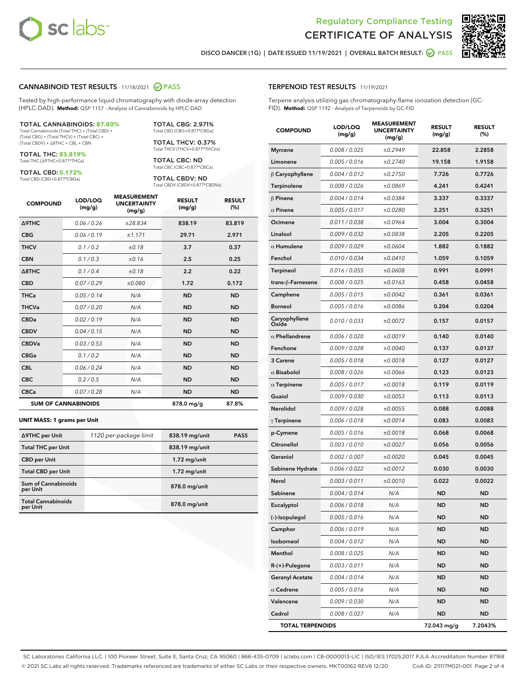



DISCO DANCER (1G) | DATE ISSUED 11/19/2021 | OVERALL BATCH RESULT: **⊘** PASS

#### CANNABINOID TEST RESULTS - 11/18/2021 2 PASS

Tested by high-performance liquid chromatography with diode-array detection (HPLC-DAD). **Method:** QSP 1157 - Analysis of Cannabinoids by HPLC-DAD

#### TOTAL CANNABINOIDS: **87.80%**

Total Cannabinoids (Total THC) + (Total CBD) + (Total CBG) + (Total THCV) + (Total CBC) + (Total CBDV) + ∆8THC + CBL + CBN

TOTAL THC: **83.819%** Total THC (∆9THC+0.877\*THCa)

TOTAL CBD: **0.172%**

Total CBD (CBD+0.877\*CBDa)

TOTAL CBG: 2.971% Total CBG (CBG+0.877\*CBGa)

TOTAL THCV: 0.37% Total THCV (THCV+0.877\*THCVa)

TOTAL CBC: ND Total CBC (CBC+0.877\*CBCa)

TOTAL CBDV: ND Total CBDV (CBDV+0.877\*CBDVa)

| <b>COMPOUND</b>            | LOD/LOQ<br>(mg/g) | <b>MEASUREMENT</b><br><b>UNCERTAINTY</b><br>(mg/g) | <b>RESULT</b><br>(mg/g) | <b>RESULT</b><br>(%) |
|----------------------------|-------------------|----------------------------------------------------|-------------------------|----------------------|
| <b>A9THC</b>               | 0.06 / 0.26       | ±28.834                                            | 838.19                  | 83.819               |
| <b>CBG</b>                 | 0.06/0.19         | ±1.171                                             | 29.71                   | 2.971                |
| <b>THCV</b>                | 0.1 / 0.2         | ±0.18                                              | 3.7                     | 0.37                 |
| <b>CBN</b>                 | 0.1 / 0.3         | ±0.16                                              | 2.5                     | 0.25                 |
| $\triangle$ 8THC           | 0.1 / 0.4         | ±0.18                                              | 2.2                     | 0.22                 |
| <b>CBD</b>                 | 0.07/0.29         | ±0.080                                             | 1.72                    | 0.172                |
| <b>THCa</b>                | 0.05/0.14         | N/A                                                | <b>ND</b>               | <b>ND</b>            |
| <b>THCVa</b>               | 0.07/0.20         | N/A                                                | <b>ND</b>               | <b>ND</b>            |
| <b>CBDa</b>                | 0.02/0.19         | N/A                                                | <b>ND</b>               | <b>ND</b>            |
| <b>CBDV</b>                | 0.04/0.15         | N/A                                                | <b>ND</b>               | <b>ND</b>            |
| <b>CBDVa</b>               | 0.03/0.53         | N/A                                                | <b>ND</b>               | <b>ND</b>            |
| <b>CBGa</b>                | 0.1/0.2           | N/A                                                | <b>ND</b>               | <b>ND</b>            |
| <b>CBL</b>                 | 0.06 / 0.24       | N/A                                                | <b>ND</b>               | <b>ND</b>            |
| <b>CBC</b>                 | 0.2 / 0.5         | N/A                                                | <b>ND</b>               | <b>ND</b>            |
| <b>CBCa</b>                | 0.07/0.28         | N/A                                                | <b>ND</b>               | <b>ND</b>            |
| <b>SUM OF CANNABINOIDS</b> |                   |                                                    | 878.0 mg/g              | 87.8%                |

#### **UNIT MASS: 1 grams per Unit**

| ∆9THC per Unit                         | 1120 per-package limit | 838.19 mg/unit | <b>PASS</b> |
|----------------------------------------|------------------------|----------------|-------------|
| <b>Total THC per Unit</b>              |                        | 838.19 mg/unit |             |
| <b>CBD per Unit</b>                    |                        | $1.72$ mg/unit |             |
| <b>Total CBD per Unit</b>              |                        | $1.72$ mg/unit |             |
| <b>Sum of Cannabinoids</b><br>per Unit |                        | 878.0 mg/unit  |             |
| <b>Total Cannabinoids</b><br>per Unit  |                        | 878.0 mg/unit  |             |

### TERPENOID TEST RESULTS - 11/19/2021

Terpene analysis utilizing gas chromatography-flame ionization detection (GC-FID). **Method:** QSP 1192 - Analysis of Terpenoids by GC-FID

| <b>COMPOUND</b>         | LOD/LOQ<br>(mg/g) | <b>MEASUREMENT</b><br><b>UNCERTAINTY</b><br>(mg/g) | <b>RESULT</b><br>(mg/g) | <b>RESULT</b><br>(%) |
|-------------------------|-------------------|----------------------------------------------------|-------------------------|----------------------|
| <b>Myrcene</b>          | 0.008 / 0.025     | ±0.2949                                            | 22.858                  | 2.2858               |
| Limonene                | 0.005 / 0.016     | ±0.2740                                            | 19.158                  | 1.9158               |
| $\beta$ Caryophyllene   | 0.004 / 0.012     | ±0.2750                                            | 7.726                   | 0.7726               |
| Terpinolene             | 0.008 / 0.026     | ±0.0869                                            | 4.241                   | 0.4241               |
| $\beta$ Pinene          | 0.004 / 0.014     | ±0.0384                                            | 3.337                   | 0.3337               |
| $\alpha$ Pinene         | 0.005 / 0.017     | ±0.0280                                            | 3.251                   | 0.3251               |
| Ocimene                 | 0.011 / 0.038     | ±0.0964                                            | 3.004                   | 0.3004               |
| Linalool                | 0.009 / 0.032     | ±0.0838                                            | 2.205                   | 0.2205               |
| $\alpha$ Humulene       | 0.009/0.029       | ±0.0604                                            | 1.882                   | 0.1882               |
| Fenchol                 | 0.010 / 0.034     | ±0.0410                                            | 1.059                   | 0.1059               |
| Terpineol               | 0.016 / 0.055     | ±0.0608                                            | 0.991                   | 0.0991               |
| trans-ß-Farnesene       | 0.008 / 0.025     | ±0.0163                                            | 0.458                   | 0.0458               |
| Camphene                | 0.005 / 0.015     | ±0.0042                                            | 0.361                   | 0.0361               |
| <b>Borneol</b>          | 0.005 / 0.016     | ±0.0086                                            | 0.204                   | 0.0204               |
| Caryophyllene<br>Oxide  | 0.010 / 0.033     | ±0.0072                                            | 0.157                   | 0.0157               |
| $\alpha$ Phellandrene   | 0.006 / 0.020     | ±0.0019                                            | 0.140                   | 0.0140               |
| Fenchone                | 0.009 / 0.028     | ±0.0040                                            | 0.137                   | 0.0137               |
| 3 Carene                | 0.005 / 0.018     | ±0.0018                                            | 0.127                   | 0.0127               |
| $\alpha$ Bisabolol      | 0.008 / 0.026     | ±0.0066                                            | 0.123                   | 0.0123               |
| $\alpha$ Terpinene      | 0.005 / 0.017     | ±0.0018                                            | 0.119                   | 0.0119               |
| Guaiol                  | 0.009 / 0.030     | ±0.0053                                            | 0.113                   | 0.0113               |
| Nerolidol               | 0.009 / 0.028     | ±0.0055                                            | 0.088                   | 0.0088               |
| $\gamma$ Terpinene      | 0.006 / 0.018     | ±0.0014                                            | 0.083                   | 0.0083               |
| p-Cymene                | 0.005 / 0.016     | ±0.0018                                            | 0.068                   | 0.0068               |
| Citronellol             | 0.003 / 0.010     | ±0.0027                                            | 0.056                   | 0.0056               |
| Geraniol                | 0.002 / 0.007     | ±0.0020                                            | 0.045                   | 0.0045               |
| Sabinene Hydrate        | 0.006 / 0.022     | ±0.0012                                            | 0.030                   | 0.0030               |
| Nerol                   | 0.003 / 0.011     | ±0.0010                                            | 0.022                   | 0.0022               |
| Sabinene                | 0.004 / 0.014     | N/A                                                | ND                      | <b>ND</b>            |
| Eucalyptol              | 0.006 / 0.018     | N/A                                                | <b>ND</b>               | <b>ND</b>            |
| (-)-Isopulegol          | 0.005 / 0.016     | N/A                                                | ND                      | ND                   |
| Camphor                 | 0.006 / 0.019     | N/A                                                | ND                      | ND                   |
| Isoborneol              | 0.004 / 0.012     | N/A                                                | <b>ND</b>               | ND                   |
| Menthol                 | 0.008 / 0.025     | N/A                                                | ND                      | ND                   |
| R-(+)-Pulegone          | 0.003 / 0.011     | N/A                                                | ND                      | ND                   |
| <b>Geranyl Acetate</b>  | 0.004 / 0.014     | N/A                                                | <b>ND</b>               | ND                   |
| $\alpha$ Cedrene        | 0.005 / 0.016     | N/A                                                | ND                      | ND                   |
| Valencene               | 0.009 / 0.030     | N/A                                                | ND                      | ND                   |
| Cedrol                  | 0.008 / 0.027     | N/A                                                | <b>ND</b>               | ND                   |
| <b>TOTAL TERPENOIDS</b> |                   |                                                    | 72.043 mg/g             | 7.2043%              |

SC Laboratories California LLC. | 100 Pioneer Street, Suite E, Santa Cruz, CA 95060 | 866-435-0709 | sclabs.com | C8-0000013-LIC | ISO/IES 17025:2017 PJLA Accreditation Number 87168 © 2021 SC Labs all rights reserved. Trademarks referenced are trademarks of either SC Labs or their respective owners. MKT00162 REV6 12/20 CoA ID: 211117M021-001 Page 2 of 4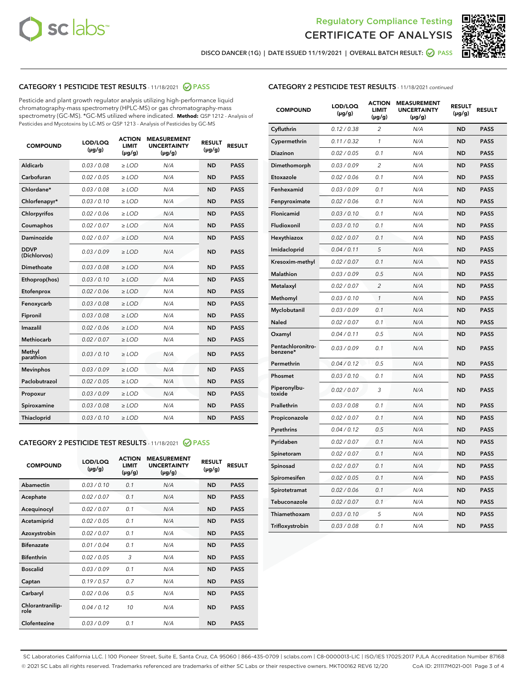



DISCO DANCER (1G) | DATE ISSUED 11/19/2021 | OVERALL BATCH RESULT:  $\bigcirc$  PASS

# CATEGORY 1 PESTICIDE TEST RESULTS - 11/18/2021 2 PASS

Pesticide and plant growth regulator analysis utilizing high-performance liquid chromatography-mass spectrometry (HPLC-MS) or gas chromatography-mass spectrometry (GC-MS). \*GC-MS utilized where indicated. **Method:** QSP 1212 - Analysis of Pesticides and Mycotoxins by LC-MS or QSP 1213 - Analysis of Pesticides by GC-MS

| <b>COMPOUND</b>             | LOD/LOQ<br>$(\mu g/g)$ | <b>ACTION</b><br><b>LIMIT</b><br>$(\mu g/g)$ | <b>MEASUREMENT</b><br><b>UNCERTAINTY</b><br>$(\mu g/g)$ | <b>RESULT</b><br>$(\mu g/g)$ | <b>RESULT</b> |
|-----------------------------|------------------------|----------------------------------------------|---------------------------------------------------------|------------------------------|---------------|
| Aldicarb                    | 0.03 / 0.08            | $\geq$ LOD                                   | N/A                                                     | <b>ND</b>                    | <b>PASS</b>   |
| Carbofuran                  | 0.02/0.05              | $\ge$ LOD                                    | N/A                                                     | <b>ND</b>                    | <b>PASS</b>   |
| Chlordane*                  | 0.03 / 0.08            | $\ge$ LOD                                    | N/A                                                     | <b>ND</b>                    | <b>PASS</b>   |
| Chlorfenapyr*               | 0.03/0.10              | $\ge$ LOD                                    | N/A                                                     | <b>ND</b>                    | <b>PASS</b>   |
| Chlorpyrifos                | 0.02 / 0.06            | $\ge$ LOD                                    | N/A                                                     | <b>ND</b>                    | <b>PASS</b>   |
| Coumaphos                   | 0.02 / 0.07            | $\ge$ LOD                                    | N/A                                                     | <b>ND</b>                    | <b>PASS</b>   |
| Daminozide                  | 0.02 / 0.07            | $\ge$ LOD                                    | N/A                                                     | <b>ND</b>                    | <b>PASS</b>   |
| <b>DDVP</b><br>(Dichlorvos) | 0.03/0.09              | $\ge$ LOD                                    | N/A                                                     | <b>ND</b>                    | <b>PASS</b>   |
| Dimethoate                  | 0.03 / 0.08            | $\ge$ LOD                                    | N/A                                                     | <b>ND</b>                    | <b>PASS</b>   |
| Ethoprop(hos)               | 0.03/0.10              | $\ge$ LOD                                    | N/A                                                     | <b>ND</b>                    | <b>PASS</b>   |
| Etofenprox                  | 0.02/0.06              | $\ge$ LOD                                    | N/A                                                     | <b>ND</b>                    | <b>PASS</b>   |
| Fenoxycarb                  | 0.03/0.08              | $\ge$ LOD                                    | N/A                                                     | <b>ND</b>                    | <b>PASS</b>   |
| Fipronil                    | 0.03/0.08              | $\ge$ LOD                                    | N/A                                                     | <b>ND</b>                    | <b>PASS</b>   |
| Imazalil                    | 0.02 / 0.06            | $\ge$ LOD                                    | N/A                                                     | <b>ND</b>                    | <b>PASS</b>   |
| <b>Methiocarb</b>           | 0.02 / 0.07            | $\ge$ LOD                                    | N/A                                                     | <b>ND</b>                    | <b>PASS</b>   |
| Methyl<br>parathion         | 0.03/0.10              | $\ge$ LOD                                    | N/A                                                     | <b>ND</b>                    | <b>PASS</b>   |
| <b>Mevinphos</b>            | 0.03/0.09              | $\ge$ LOD                                    | N/A                                                     | <b>ND</b>                    | <b>PASS</b>   |
| Paclobutrazol               | 0.02 / 0.05            | $\ge$ LOD                                    | N/A                                                     | <b>ND</b>                    | <b>PASS</b>   |
| Propoxur                    | 0.03/0.09              | $\ge$ LOD                                    | N/A                                                     | <b>ND</b>                    | <b>PASS</b>   |
| Spiroxamine                 | 0.03 / 0.08            | $\ge$ LOD                                    | N/A                                                     | <b>ND</b>                    | <b>PASS</b>   |
| <b>Thiacloprid</b>          | 0.03/0.10              | $\ge$ LOD                                    | N/A                                                     | <b>ND</b>                    | <b>PASS</b>   |
|                             |                        |                                              |                                                         |                              |               |

# CATEGORY 2 PESTICIDE TEST RESULTS - 11/18/2021 @ PASS

| <b>COMPOUND</b>          | LOD/LOO<br>$(\mu g/g)$ | <b>ACTION</b><br>LIMIT<br>$(\mu g/g)$ | <b>MEASUREMENT</b><br><b>UNCERTAINTY</b><br>$(\mu g/g)$ | <b>RESULT</b><br>$(\mu g/g)$ | <b>RESULT</b> |  |
|--------------------------|------------------------|---------------------------------------|---------------------------------------------------------|------------------------------|---------------|--|
| Abamectin                | 0.03/0.10              | 0.1                                   | N/A                                                     | <b>ND</b>                    | <b>PASS</b>   |  |
| Acephate                 | 0.02/0.07              | 0.1                                   | N/A                                                     | <b>ND</b>                    | <b>PASS</b>   |  |
| Acequinocyl              | 0.02/0.07              | 0.1                                   | N/A                                                     | <b>ND</b>                    | <b>PASS</b>   |  |
| Acetamiprid              | 0.02/0.05              | 0.1                                   | N/A                                                     | <b>ND</b>                    | <b>PASS</b>   |  |
| Azoxystrobin             | 0.02/0.07              | 0.1                                   | N/A                                                     | <b>ND</b>                    | <b>PASS</b>   |  |
| <b>Bifenazate</b>        | 0.01/0.04              | 0.1                                   | N/A                                                     | <b>ND</b>                    | <b>PASS</b>   |  |
| <b>Bifenthrin</b>        | 0.02/0.05              | 3                                     | N/A                                                     | <b>ND</b>                    | <b>PASS</b>   |  |
| <b>Boscalid</b>          | 0.03/0.09              | 0.1                                   | N/A                                                     | <b>ND</b>                    | <b>PASS</b>   |  |
| Captan                   | 0.19/0.57              | 0.7                                   | N/A                                                     | <b>ND</b>                    | <b>PASS</b>   |  |
| Carbaryl                 | 0.02/0.06              | 0.5                                   | N/A                                                     | <b>ND</b>                    | <b>PASS</b>   |  |
| Chlorantranilip-<br>role | 0.04/0.12              | 10                                    | N/A                                                     | <b>ND</b>                    | <b>PASS</b>   |  |
| Clofentezine             | 0.03/0.09              | 0.1                                   | N/A                                                     | <b>ND</b>                    | <b>PASS</b>   |  |

# CATEGORY 2 PESTICIDE TEST RESULTS - 11/18/2021 continued

| <b>COMPOUND</b>               | LOD/LOQ<br>(µg/g) | <b>ACTION</b><br><b>LIMIT</b><br>(µg/g) | <b>MEASUREMENT</b><br><b>UNCERTAINTY</b><br>(µg/g) | <b>RESULT</b><br>(µg/g) | <b>RESULT</b> |
|-------------------------------|-------------------|-----------------------------------------|----------------------------------------------------|-------------------------|---------------|
| Cyfluthrin                    | 0.12 / 0.38       | $\overline{c}$                          | N/A                                                | <b>ND</b>               | <b>PASS</b>   |
| Cypermethrin                  | 0.11/0.32         | 1                                       | N/A                                                | <b>ND</b>               | <b>PASS</b>   |
| <b>Diazinon</b>               | 0.02 / 0.05       | 0.1                                     | N/A                                                | <b>ND</b>               | <b>PASS</b>   |
| Dimethomorph                  | 0.03 / 0.09       | 2                                       | N/A                                                | <b>ND</b>               | <b>PASS</b>   |
| Etoxazole                     | 0.02 / 0.06       | 0.1                                     | N/A                                                | <b>ND</b>               | <b>PASS</b>   |
| Fenhexamid                    | 0.03 / 0.09       | 0.1                                     | N/A                                                | <b>ND</b>               | <b>PASS</b>   |
| Fenpyroximate                 | 0.02 / 0.06       | 0.1                                     | N/A                                                | <b>ND</b>               | <b>PASS</b>   |
| Flonicamid                    | 0.03/0.10         | 0.1                                     | N/A                                                | <b>ND</b>               | <b>PASS</b>   |
| Fludioxonil                   | 0.03 / 0.10       | 0.1                                     | N/A                                                | <b>ND</b>               | <b>PASS</b>   |
| Hexythiazox                   | 0.02 / 0.07       | 0.1                                     | N/A                                                | <b>ND</b>               | <b>PASS</b>   |
| Imidacloprid                  | 0.04 / 0.11       | 5                                       | N/A                                                | <b>ND</b>               | <b>PASS</b>   |
| Kresoxim-methyl               | 0.02 / 0.07       | 0.1                                     | N/A                                                | <b>ND</b>               | <b>PASS</b>   |
| <b>Malathion</b>              | 0.03 / 0.09       | 0.5                                     | N/A                                                | <b>ND</b>               | <b>PASS</b>   |
| Metalaxyl                     | 0.02 / 0.07       | $\overline{c}$                          | N/A                                                | <b>ND</b>               | <b>PASS</b>   |
| Methomyl                      | 0.03 / 0.10       | 1                                       | N/A                                                | <b>ND</b>               | <b>PASS</b>   |
| Myclobutanil                  | 0.03 / 0.09       | 0.1                                     | N/A                                                | <b>ND</b>               | <b>PASS</b>   |
| Naled                         | 0.02 / 0.07       | 0.1                                     | N/A                                                | <b>ND</b>               | <b>PASS</b>   |
| Oxamyl                        | 0.04 / 0.11       | 0.5                                     | N/A                                                | <b>ND</b>               | <b>PASS</b>   |
| Pentachloronitro-<br>benzene* | 0.03 / 0.09       | 0.1                                     | N/A                                                | <b>ND</b>               | <b>PASS</b>   |
| Permethrin                    | 0.04 / 0.12       | 0.5                                     | N/A                                                | <b>ND</b>               | <b>PASS</b>   |
| Phosmet                       | 0.03 / 0.10       | 0.1                                     | N/A                                                | <b>ND</b>               | <b>PASS</b>   |
| Piperonylbu-<br>toxide        | 0.02 / 0.07       | 3                                       | N/A                                                | <b>ND</b>               | <b>PASS</b>   |
| Prallethrin                   | 0.03 / 0.08       | 0.1                                     | N/A                                                | <b>ND</b>               | <b>PASS</b>   |
| Propiconazole                 | 0.02 / 0.07       | 0.1                                     | N/A                                                | <b>ND</b>               | <b>PASS</b>   |
| Pyrethrins                    | 0.04 / 0.12       | 0.5                                     | N/A                                                | ND                      | <b>PASS</b>   |
| Pyridaben                     | 0.02 / 0.07       | 0.1                                     | N/A                                                | <b>ND</b>               | <b>PASS</b>   |
| Spinetoram                    | 0.02 / 0.07       | 0.1                                     | N/A                                                | <b>ND</b>               | <b>PASS</b>   |
| Spinosad                      | 0.02 / 0.07       | 0.1                                     | N/A                                                | <b>ND</b>               | <b>PASS</b>   |
| Spiromesifen                  | 0.02 / 0.05       | 0.1                                     | N/A                                                | <b>ND</b>               | <b>PASS</b>   |
| Spirotetramat                 | 0.02 / 0.06       | 0.1                                     | N/A                                                | <b>ND</b>               | <b>PASS</b>   |
| Tebuconazole                  | 0.02 / 0.07       | 0.1                                     | N/A                                                | <b>ND</b>               | <b>PASS</b>   |
| Thiamethoxam                  | 0.03 / 0.10       | 5                                       | N/A                                                | <b>ND</b>               | <b>PASS</b>   |
| Trifloxystrobin               | 0.03 / 0.08       | 0.1                                     | N/A                                                | <b>ND</b>               | <b>PASS</b>   |

SC Laboratories California LLC. | 100 Pioneer Street, Suite E, Santa Cruz, CA 95060 | 866-435-0709 | sclabs.com | C8-0000013-LIC | ISO/IES 17025:2017 PJLA Accreditation Number 87168 © 2021 SC Labs all rights reserved. Trademarks referenced are trademarks of either SC Labs or their respective owners. MKT00162 REV6 12/20 CoA ID: 211117M021-001 Page 3 of 4